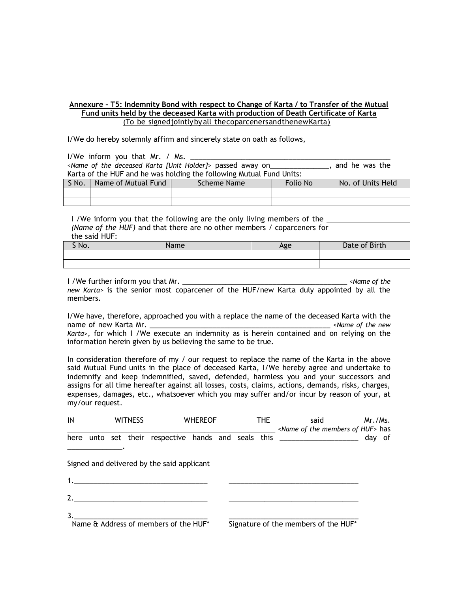## **Annexure – T5: Indemnity Bond with respect to Change of Karta / to Transfer of the Mutual Fund units held by the deceased Karta with production of Death Certificate of Karta**  (To be signedjointlybyall thecoparcenersandthenewKarta)

I/We do hereby solemnly affirm and sincerely state on oath as follows,

I/We inform you that Mr. / Ms. *<Name of the deceased Karta [Unit Holder]>* passed away on\_\_\_\_\_\_\_\_\_\_\_\_\_\_\_, and he was the Karta of the HUF and he was holding the following Mutual Fund Units:

| $S$ No. | Name of Mutual Fund | Scheme Name | Folio No | No. of Units Held |
|---------|---------------------|-------------|----------|-------------------|
|         |                     |             |          |                   |
|         |                     |             |          |                   |

I /We inform you that the following are the only living members of the *(Name of the HUF)* and that there are no other members / coparceners for the said HUF:

| S No. | <b>lame</b> | Age | Date of Birth |
|-------|-------------|-----|---------------|
|       |             |     |               |
|       |             |     |               |

I /We further inform you that Mr. \_\_\_\_\_\_\_\_\_\_\_\_\_\_\_\_\_\_\_\_\_\_\_\_\_\_\_\_\_\_\_\_\_\_\_\_\_\_\_\_\_\_ *<Name of the new Karta>* is the senior most coparcener of the HUF/new Karta duly appointed by all the members.

I/We have, therefore, approached you with a replace the name of the deceased Karta with the name of new Karta Mr. \_\_\_\_\_\_\_\_\_\_\_\_\_\_\_\_\_\_\_\_\_\_\_\_\_\_\_\_\_\_\_\_\_\_\_\_\_\_\_\_\_\_\_\_\_\_ *<Name of the new Karta>*, for which I /We execute an indemnity as is herein contained and on relying on the information herein given by us believing the same to be true.

In consideration therefore of my / our request to replace the name of the Karta in the above said Mutual Fund units in the place of deceased Karta, I/We hereby agree and undertake to indemnify and keep indemnified, saved, defended, harmless you and your successors and assigns for all time hereafter against all losses, costs, claims, actions, demands, risks, charges, expenses, damages, etc., whatsoever which you may suffer and/or incur by reason of your, at my/our request.

| IN | <b>WITNESS</b> |  |                                            | <b>WHEREOF</b> |  | <b>THE</b> |  | said<br><name huf="" members="" of="" the=""> has</name>                        | Mr./Ms. |  |
|----|----------------|--|--------------------------------------------|----------------|--|------------|--|---------------------------------------------------------------------------------|---------|--|
|    |                |  |                                            |                |  |            |  | here unto set their respective hands and seals this ____________________ day of |         |  |
|    |                |  | Signed and delivered by the said applicant |                |  |            |  |                                                                                 |         |  |
|    |                |  |                                            |                |  |            |  |                                                                                 |         |  |
|    |                |  | 2.                                         |                |  |            |  |                                                                                 |         |  |
| 3. |                |  | Name & Address of members of the HUF*      |                |  |            |  | Signature of the members of the HUF*                                            |         |  |